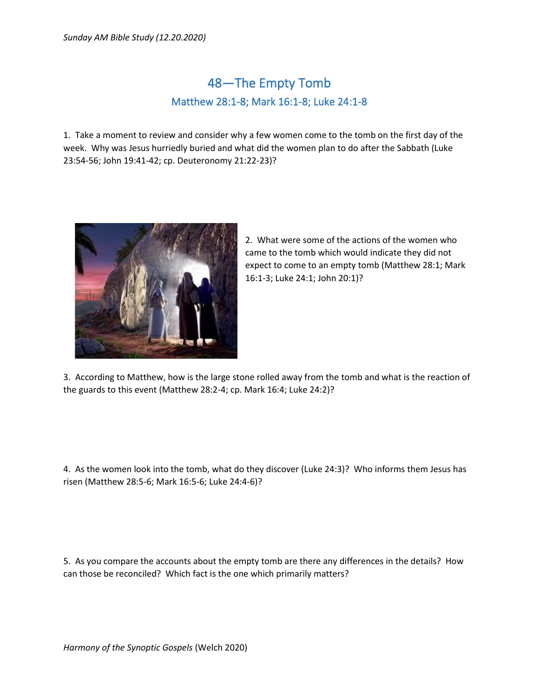## 48—The Empty Tomb Matthew 28:1-8; Mark 16:1-8; Luke 24:1-8

1. Take a moment to review and consider why a few women come to the tomb on the first day of the week. Why was Jesus hurriedly buried and what did the women plan to do after the Sabbath (Luke 23:54-56; John 19:41-42; cp. Deuteronomy 21:22-23)?



2. What were some of the actions of the women who came to the tomb which would indicate they did not expect to come to an empty tomb (Matthew 28:1; Mark 16:1-3; Luke 24:1; John 20:1)?

3. According to Matthew, how is the large stone rolled away from the tomb and what is the reaction of the guards to this event (Matthew 28:2-4; cp. Mark 16:4; Luke 24:2)?

4. As the women look into the tomb, what do they discover (Luke 24:3)? Who informs them Jesus has risen (Matthew 28:5-6; Mark 16:5-6; Luke 24:4-6)?

5. As you compare the accounts about the empty tomb are there any differences in the details? How can those be reconciled? Which fact is the one which primarily matters?